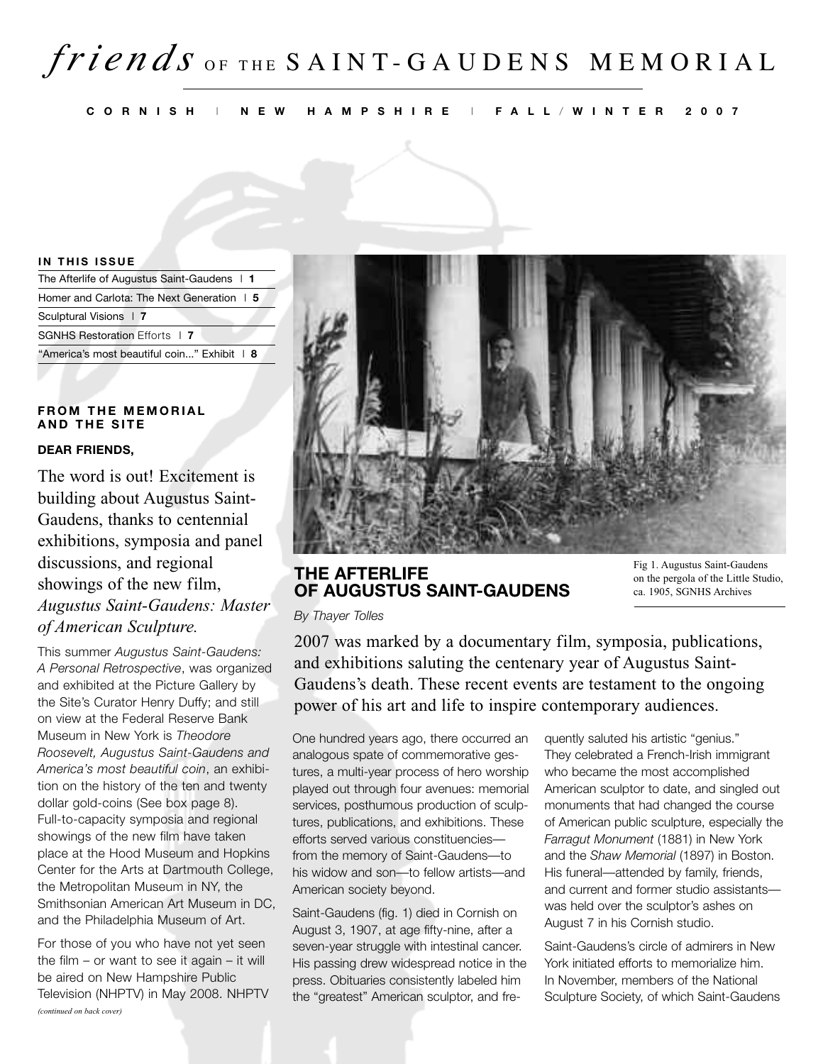# *fri <sup>e</sup> <sup>n</sup> d <sup>s</sup>* <sup>O</sup> <sup>F</sup> <sup>T</sup> <sup>H</sup> <sup>E</sup> S A I N T - G A U D E N S M E M O R I A L

CORNISH | NEW HAMPSHIRE | FALL/WINTER 2007

#### **IN THIS ISSUE**

| The Afterlife of Augustus Saint-Gaudens   1 |
|---------------------------------------------|
| Homer and Carlota: The Next Generation   5  |
| Sculptural Visions   7                      |
| <b>SGNHS Restoration Efforts 17</b>         |
| "America's most beautiful coin" Exhibit   8 |

#### $F$ **ROM THE MEMORIAL A N D T H E S I T E**

#### **DEAR FRIENDS,**

The word is out! Excitement is building about Augustus Saint-Gaudens, thanks to centennial exhibitions, symposia and panel discussions, and regional showings of the new film, *Augustus Saint-Gaudens: Master of American Sculpture.*

This summer *Augustus Saint-Gaudens: A Personal Retrospective*, was organized and exhibited at the Picture Gallery by the Site's Curator Henry Duffy; and still on view at the Federal Reserve Bank Museum in New York is *Theodore Roosevelt, Augustus Saint-Gaudens and America's most beautiful coin*, an exhibition on the history of the ten and twenty dollar gold-coins (See box page 8). Full-to-capacity symposia and regional showings of the new film have taken place at the Hood Museum and Hopkins Center for the Arts at Dartmouth College, the Metropolitan Museum in NY, the Smithsonian American Art Museum in DC, and the Philadelphia Museum of Art.

For those of you who have not yet seen the film – or want to see it again – it will be aired on New Hampshire Public Television (NHPTV) in May 2008. NHPTV *(continued on back cover)*



## **THE AFTERLIFE OF AUGUSTUS SAINT-GAUDENS**

Fig 1. Augustus Saint-Gaudens on the pergola of the Little Studio, ca. 1905, SGNHS Archives

*By Thayer Tolles*

2007 was marked by a documentary film, symposia, publications, and exhibitions saluting the centenary year of Augustus Saint-Gaudens's death. These recent events are testament to the ongoing power of his art and life to inspire contemporary audiences.

One hundred years ago, there occurred an analogous spate of commemorative gestures, a multi-year process of hero worship played out through four avenues: memorial services, posthumous production of sculptures, publications, and exhibitions. These efforts served various constituencies from the memory of Saint-Gaudens—to his widow and son—to fellow artists—and American society beyond.

Saint-Gaudens (fig. 1) died in Cornish on August 3, 1907, at age fifty-nine, after a seven-year struggle with intestinal cancer. His passing drew widespread notice in the press. Obituaries consistently labeled him the "greatest" American sculptor, and fre-

quently saluted his artistic "genius." They celebrated a French-Irish immigrant who became the most accomplished American sculptor to date, and singled out monuments that had changed the course of American public sculpture, especially the *Farragut Monument* (1881) in New York and the *Shaw Memorial* (1897) in Boston. His funeral—attended by family, friends, and current and former studio assistants was held over the sculptor's ashes on August 7 in his Cornish studio.

Saint-Gaudens's circle of admirers in New York initiated efforts to memorialize him. In November, members of the National Sculpture Society, of which Saint-Gaudens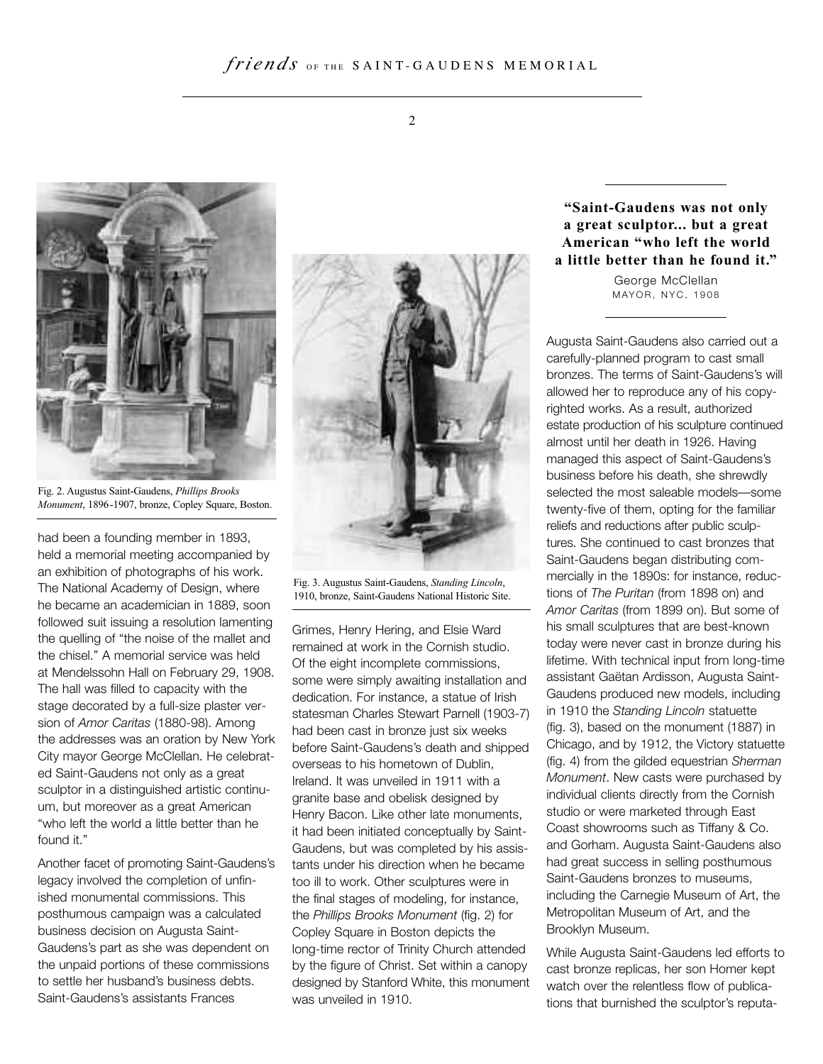

Fig. 2. Augustus Saint-Gaudens, *Phillips Brooks Monument*, 1896-1907, bronze, Copley Square, Boston.

had been a founding member in 1893, held a memorial meeting accompanied by an exhibition of photographs of his work. The National Academy of Design, where he became an academician in 1889, soon followed suit issuing a resolution lamenting the quelling of "the noise of the mallet and the chisel." A memorial service was held at Mendelssohn Hall on February 29, 1908. The hall was filled to capacity with the stage decorated by a full-size plaster version of *Amor Caritas* (1880-98). Among the addresses was an oration by New York City mayor George McClellan. He celebrated Saint-Gaudens not only as a great sculptor in a distinguished artistic continuum, but moreover as a great American "who left the world a little better than he found it."

Another facet of promoting Saint-Gaudens's legacy involved the completion of unfinished monumental commissions. This posthumous campaign was a calculated business decision on Augusta Saint-Gaudens's part as she was dependent on the unpaid portions of these commissions to settle her husband's business debts. Saint-Gaudens's assistants Frances



Fig. 3. Augustus Saint-Gaudens, *Standing Lincoln*, 1910, bronze, Saint-Gaudens National Historic Site.

Grimes, Henry Hering, and Elsie Ward remained at work in the Cornish studio. Of the eight incomplete commissions, some were simply awaiting installation and dedication. For instance, a statue of Irish statesman Charles Stewart Parnell (1903-7) had been cast in bronze just six weeks before Saint-Gaudens's death and shipped overseas to his hometown of Dublin, Ireland. It was unveiled in 1911 with a granite base and obelisk designed by Henry Bacon. Like other late monuments, it had been initiated conceptually by Saint-Gaudens, but was completed by his assistants under his direction when he became too ill to work. Other sculptures were in the final stages of modeling, for instance, the *Phillips Brooks Monument* (fig. 2) for Copley Square in Boston depicts the long-time rector of Trinity Church attended by the figure of Christ. Set within a canopy designed by Stanford White, this monument was unveiled in 1910.

## **"Saint-Gaudens was not only a great sculptor... but a great American "who left the world a little better than he found it."**

George McClellan MAYOR, NYC, 1908

Augusta Saint-Gaudens also carried out a carefully-planned program to cast small bronzes. The terms of Saint-Gaudens's will allowed her to reproduce any of his copyrighted works. As a result, authorized estate production of his sculpture continued almost until her death in 1926. Having managed this aspect of Saint-Gaudens's business before his death, she shrewdly selected the most saleable models—some twenty-five of them, opting for the familiar reliefs and reductions after public sculptures. She continued to cast bronzes that Saint-Gaudens began distributing commercially in the 1890s: for instance, reductions of *The Puritan* (from 1898 on) and *Amor Caritas* (from 1899 on). But some of his small sculptures that are best-known today were never cast in bronze during his lifetime. With technical input from long-time assistant Gaëtan Ardisson, Augusta Saint-Gaudens produced new models, including in 1910 the *Standing Lincoln* statuette (fig. 3), based on the monument (1887) in Chicago, and by 1912, the Victory statuette (fig. 4) from the gilded equestrian *Sherman Monument*. New casts were purchased by individual clients directly from the Cornish studio or were marketed through East Coast showrooms such as Tiffany & Co. and Gorham. Augusta Saint-Gaudens also had great success in selling posthumous Saint-Gaudens bronzes to museums, including the Carnegie Museum of Art, the Metropolitan Museum of Art, and the Brooklyn Museum.

While Augusta Saint-Gaudens led efforts to cast bronze replicas, her son Homer kept watch over the relentless flow of publications that burnished the sculptor's reputa-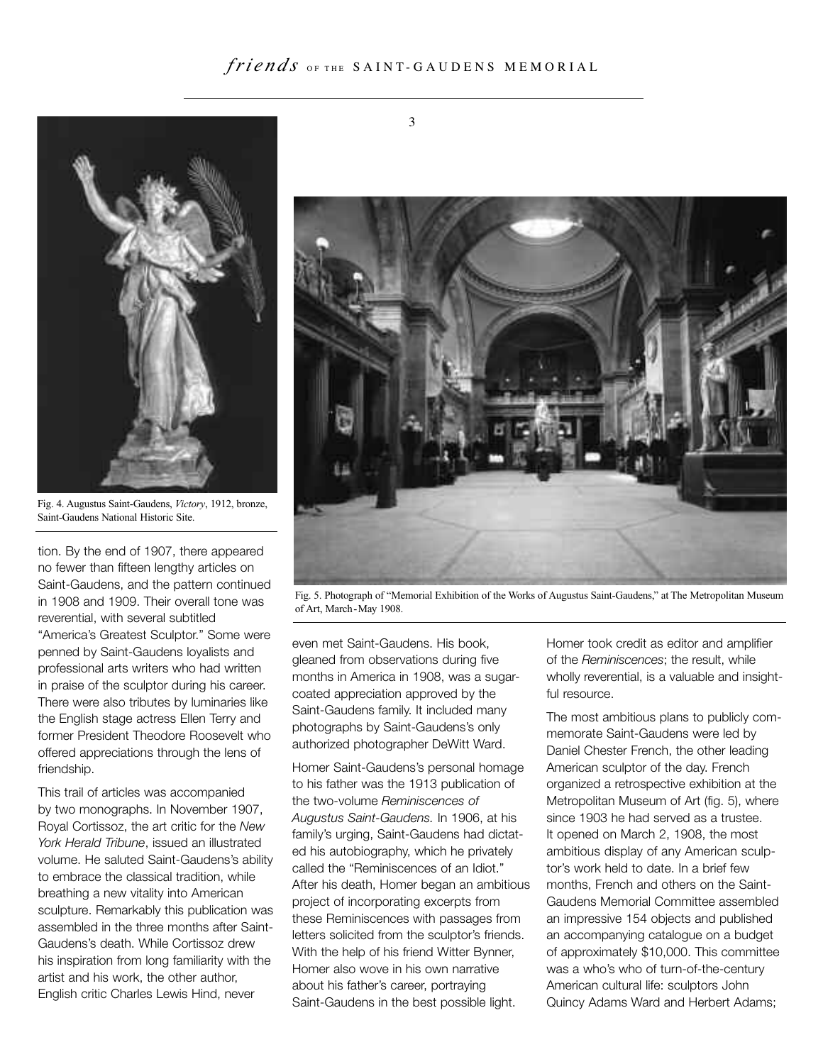

Fig. 4. Augustus Saint-Gaudens, *Victory*, 1912, bronze, Saint-Gaudens National Historic Site.

tion. By the end of 1907, there appeared no fewer than fifteen lengthy articles on Saint-Gaudens, and the pattern continued in 1908 and 1909. Their overall tone was reverential, with several subtitled "America's Greatest Sculptor." Some were penned by Saint-Gaudens loyalists and professional arts writers who had written in praise of the sculptor during his career. There were also tributes by luminaries like the English stage actress Ellen Terry and former President Theodore Roosevelt who offered appreciations through the lens of friendship.

This trail of articles was accompanied by two monographs. In November 1907, Royal Cortissoz, the art critic for the *New York Herald Tribune*, issued an illustrated volume. He saluted Saint-Gaudens's ability to embrace the classical tradition, while breathing a new vitality into American sculpture. Remarkably this publication was assembled in the three months after Saint-Gaudens's death. While Cortissoz drew his inspiration from long familiarity with the artist and his work, the other author, English critic Charles Lewis Hind, never

3



Fig. 5. Photograph of "Memorial Exhibition of the Works of Augustus Saint-Gaudens," at The Metropolitan Museum of Art, March-May 1908.

even met Saint-Gaudens. His book, gleaned from observations during five months in America in 1908, was a sugarcoated appreciation approved by the Saint-Gaudens family. It included many photographs by Saint-Gaudens's only authorized photographer DeWitt Ward.

Homer Saint-Gaudens's personal homage to his father was the 1913 publication of the two-volume *Reminiscences of Augustus Saint-Gaudens.* In 1906, at his family's urging, Saint-Gaudens had dictated his autobiography, which he privately called the "Reminiscences of an Idiot." After his death, Homer began an ambitious project of incorporating excerpts from these Reminiscences with passages from letters solicited from the sculptor's friends. With the help of his friend Witter Bynner, Homer also wove in his own narrative about his father's career, portraying Saint-Gaudens in the best possible light.

Homer took credit as editor and amplifier of the *Reminiscences*; the result, while wholly reverential, is a valuable and insightful resource.

The most ambitious plans to publicly commemorate Saint-Gaudens were led by Daniel Chester French, the other leading American sculptor of the day. French organized a retrospective exhibition at the Metropolitan Museum of Art (fig. 5), where since 1903 he had served as a trustee. It opened on March 2, 1908, the most ambitious display of any American sculptor's work held to date. In a brief few months, French and others on the Saint-Gaudens Memorial Committee assembled an impressive 154 objects and published an accompanying catalogue on a budget of approximately \$10,000. This committee was a who's who of turn-of-the-century American cultural life: sculptors John Quincy Adams Ward and Herbert Adams;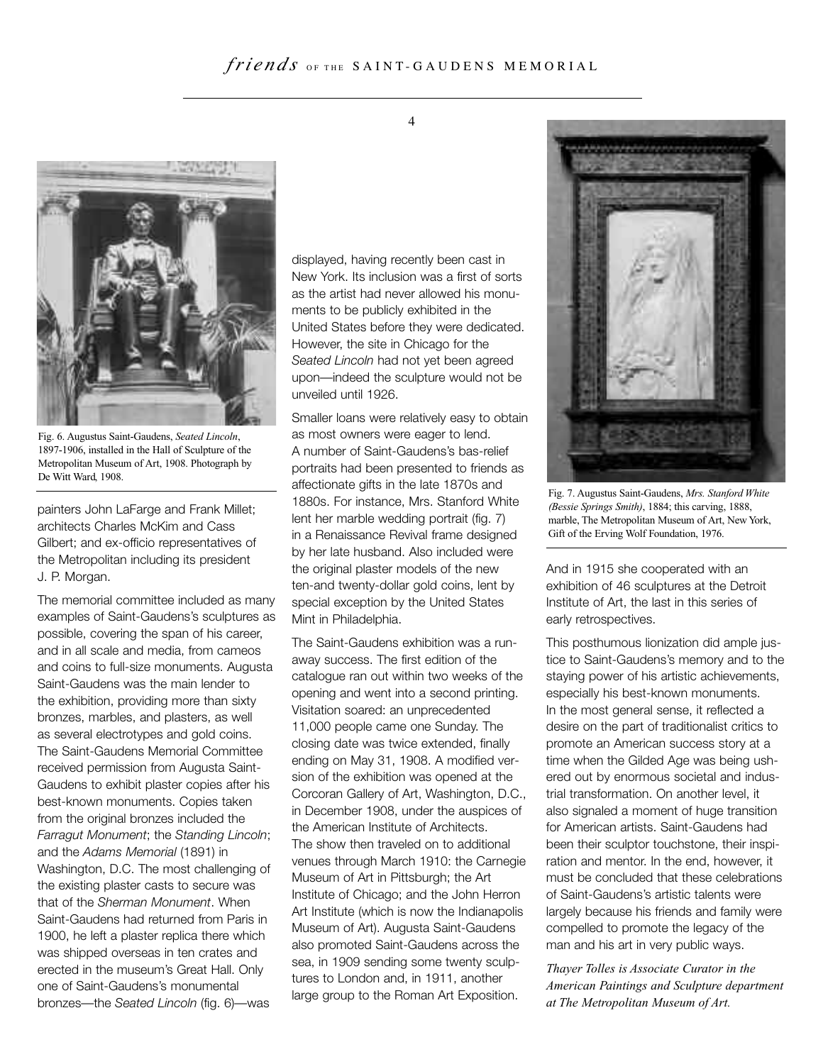

Fig. 6. Augustus Saint-Gaudens, *Seated Lincoln*, 1897-1906, installed in the Hall of Sculpture of the Metropolitan Museum of Art, 1908. Photograph by De Witt Ward, 1908.

painters John LaFarge and Frank Millet; architects Charles McKim and Cass Gilbert; and ex-officio representatives of the Metropolitan including its president J. P. Morgan.

The memorial committee included as many examples of Saint-Gaudens's sculptures as possible, covering the span of his career, and in all scale and media, from cameos and coins to full-size monuments. Augusta Saint-Gaudens was the main lender to the exhibition, providing more than sixty bronzes, marbles, and plasters, as well as several electrotypes and gold coins. The Saint-Gaudens Memorial Committee received permission from Augusta Saint-Gaudens to exhibit plaster copies after his best-known monuments. Copies taken from the original bronzes included the *Farragut Monument*; the *Standing Lincoln*; and the *Adams Memorial* (1891) in Washington, D.C. The most challenging of the existing plaster casts to secure was that of the *Sherman Monument*. When Saint-Gaudens had returned from Paris in 1900, he left a plaster replica there which was shipped overseas in ten crates and erected in the museum's Great Hall. Only one of Saint-Gaudens's monumental bronzes—the *Seated Lincoln* (fig. 6)—was

displayed, having recently been cast in New York. Its inclusion was a first of sorts as the artist had never allowed his monuments to be publicly exhibited in the United States before they were dedicated. However, the site in Chicago for the *Seated Lincoln* had not yet been agreed upon—indeed the sculpture would not be unveiled until 1926.

Smaller loans were relatively easy to obtain as most owners were eager to lend. A number of Saint-Gaudens's bas-relief portraits had been presented to friends as affectionate gifts in the late 1870s and 1880s. For instance, Mrs. Stanford White lent her marble wedding portrait (fig. 7) in a Renaissance Revival frame designed by her late husband. Also included were the original plaster models of the new ten-and twenty-dollar gold coins, lent by special exception by the United States Mint in Philadelphia.

The Saint-Gaudens exhibition was a runaway success. The first edition of the catalogue ran out within two weeks of the opening and went into a second printing. Visitation soared: an unprecedented 11,000 people came one Sunday. The closing date was twice extended, finally ending on May 31, 1908. A modified version of the exhibition was opened at the Corcoran Gallery of Art, Washington, D.C., in December 1908, under the auspices of the American Institute of Architects. The show then traveled on to additional venues through March 1910: the Carnegie Museum of Art in Pittsburgh; the Art Institute of Chicago; and the John Herron Art Institute (which is now the Indianapolis Museum of Art). Augusta Saint-Gaudens also promoted Saint-Gaudens across the sea, in 1909 sending some twenty sculptures to London and, in 1911, another large group to the Roman Art Exposition.



Fig. 7. Augustus Saint-Gaudens, *Mrs. Stanford White (Bessie Springs Smith)*, 1884; this carving, 1888, marble, The Metropolitan Museum of Art, New York, Gift of the Erving Wolf Foundation, 1976.

And in 1915 she cooperated with an exhibition of 46 sculptures at the Detroit Institute of Art, the last in this series of early retrospectives.

This posthumous lionization did ample justice to Saint-Gaudens's memory and to the staying power of his artistic achievements, especially his best-known monuments. In the most general sense, it reflected a desire on the part of traditionalist critics to promote an American success story at a time when the Gilded Age was being ushered out by enormous societal and industrial transformation. On another level, it also signaled a moment of huge transition for American artists. Saint-Gaudens had been their sculptor touchstone, their inspiration and mentor. In the end, however, it must be concluded that these celebrations of Saint-Gaudens's artistic talents were largely because his friends and family were compelled to promote the legacy of the man and his art in very public ways.

*Thayer Tolles is Associate Curator in the American Paintings and Sculpture department at The Metropolitan Museum of Art.*

4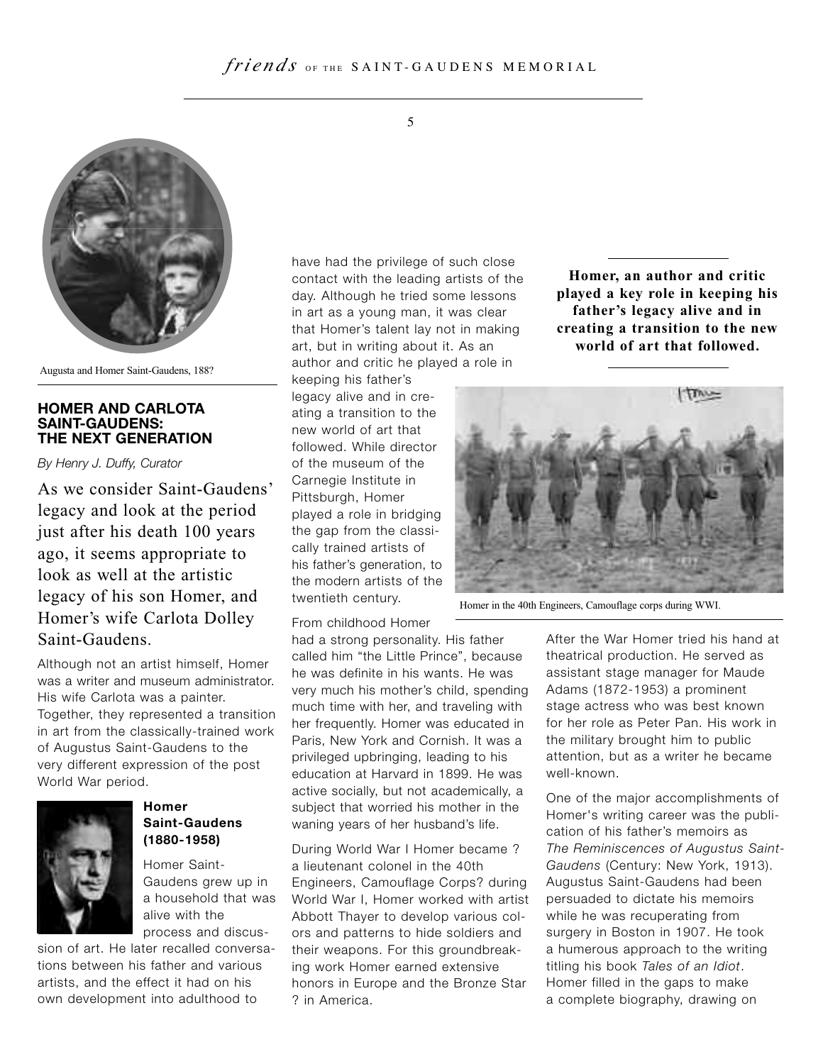

Augusta and Homer Saint-Gaudens, 188?

#### **HOMER AND CARLOTA SAINT-GAUDENS: THE NEXT GENERATION**

*By Henry J. Duffy, Curator*

As we consider Saint-Gaudens' legacy and look at the period just after his death 100 years ago, it seems appropriate to look as well at the artistic legacy of his son Homer, and Homer's wife Carlota Dolley Saint-Gaudens.

Although not an artist himself, Homer was a writer and museum administrator. His wife Carlota was a painter. Together, they represented a transition in art from the classically-trained work of Augustus Saint-Gaudens to the very different expression of the post World War period.



## **Homer Saint-Gaudens (1880-1958)**

Homer Saint-Gaudens grew up in a household that was alive with the process and discus-

sion of art. He later recalled conversations between his father and various artists, and the effect it had on his own development into adulthood to

have had the privilege of such close contact with the leading artists of the day. Although he tried some lessons in art as a young man, it was clear that Homer's talent lay not in making art, but in writing about it. As an author and critic he played a role in

keeping his father's legacy alive and in creating a transition to the new world of art that followed. While director of the museum of the Carnegie Institute in Pittsburgh, Homer played a role in bridging the gap from the classically trained artists of his father's generation, to the modern artists of the twentieth century.

From childhood Homer

had a strong personality. His father called him "the Little Prince", because he was definite in his wants. He was very much his mother's child, spending much time with her, and traveling with her frequently. Homer was educated in Paris, New York and Cornish. It was a privileged upbringing, leading to his education at Harvard in 1899. He was active socially, but not academically, a subject that worried his mother in the waning years of her husband's life.

During World War I Homer became ? a lieutenant colonel in the 40th Engineers, Camouflage Corps? during World War I, Homer worked with artist Abbott Thayer to develop various colors and patterns to hide soldiers and their weapons. For this groundbreaking work Homer earned extensive honors in Europe and the Bronze Star ? in America.

**Homer, an author and critic played a key role in keeping his father's legacy alive and in creating a transition to the new world of art that followed.**



Homer in the 40th Engineers, Camouflage corps during WWI.

After the War Homer tried his hand at theatrical production. He served as assistant stage manager for Maude Adams (1872-1953) a prominent stage actress who was best known for her role as Peter Pan. His work in the military brought him to public attention, but as a writer he became well-known.

One of the major accomplishments of Homer's writing career was the publication of his father's memoirs as *The Reminiscences of Augustus Saint-Gaudens* (Century: New York, 1913). Augustus Saint-Gaudens had been persuaded to dictate his memoirs while he was recuperating from surgery in Boston in 1907. He took a humerous approach to the writing titling his book *Tales of an Idiot*. Homer filled in the gaps to make a complete biography, drawing on

5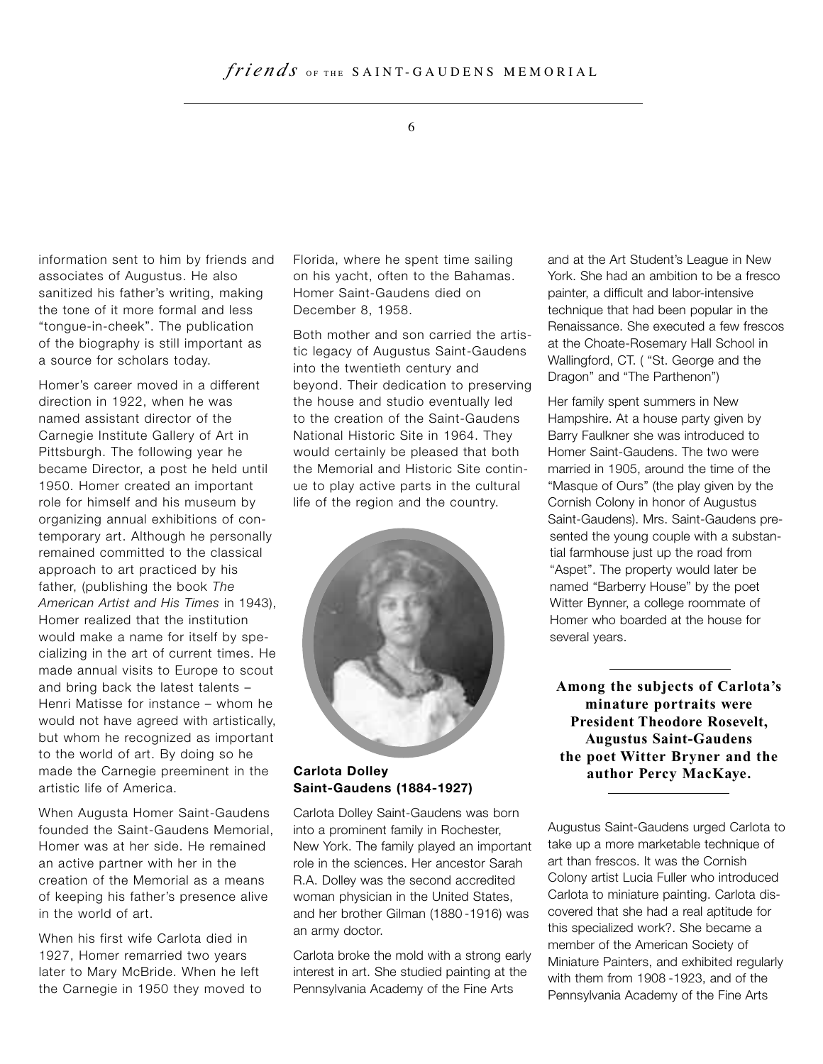#### 6

information sent to him by friends and associates of Augustus. He also sanitized his father's writing, making the tone of it more formal and less "tongue-in-cheek". The publication of the biography is still important as a source for scholars today.

Homer's career moved in a different direction in 1922, when he was named assistant director of the Carnegie Institute Gallery of Art in Pittsburgh. The following year he became Director, a post he held until 1950. Homer created an important role for himself and his museum by organizing annual exhibitions of contemporary art. Although he personally remained committed to the classical approach to art practiced by his father, (publishing the book *The American Artist and His Times* in 1943), Homer realized that the institution would make a name for itself by specializing in the art of current times. He made annual visits to Europe to scout and bring back the latest talents – Henri Matisse for instance – whom he would not have agreed with artistically, but whom he recognized as important to the world of art. By doing so he made the Carnegie preeminent in the artistic life of America.

When Augusta Homer Saint-Gaudens founded the Saint-Gaudens Memorial, Homer was at her side. He remained an active partner with her in the creation of the Memorial as a means of keeping his father's presence alive in the world of art.

When his first wife Carlota died in 1927, Homer remarried two years later to Mary McBride. When he left the Carnegie in 1950 they moved to Florida, where he spent time sailing on his yacht, often to the Bahamas. Homer Saint-Gaudens died on December 8, 1958.

Both mother and son carried the artistic legacy of Augustus Saint-Gaudens into the twentieth century and beyond. Their dedication to preserving the house and studio eventually led to the creation of the Saint-Gaudens National Historic Site in 1964. They would certainly be pleased that both the Memorial and Historic Site continue to play active parts in the cultural life of the region and the country.



#### **Carlota Dolley Saint-Gaudens (1884-1927)**

Carlota Dolley Saint-Gaudens was born into a prominent family in Rochester, New York. The family played an important role in the sciences. Her ancestor Sarah R.A. Dolley was the second accredited woman physician in the United States, and her brother Gilman (1880 -1916) was an army doctor.

Carlota broke the mold with a strong early interest in art. She studied painting at the Pennsylvania Academy of the Fine Arts

and at the Art Student's League in New York. She had an ambition to be a fresco painter, a difficult and labor-intensive technique that had been popular in the Renaissance. She executed a few frescos at the Choate-Rosemary Hall School in Wallingford, CT. ( "St. George and the Dragon" and "The Parthenon")

Her family spent summers in New Hampshire. At a house party given by Barry Faulkner she was introduced to Homer Saint-Gaudens. The two were married in 1905, around the time of the "Masque of Ours" (the play given by the Cornish Colony in honor of Augustus Saint-Gaudens). Mrs. Saint-Gaudens presented the young couple with a substantial farmhouse just up the road from "Aspet". The property would later be named "Barberry House" by the poet Witter Bynner, a college roommate of Homer who boarded at the house for several years.

**Among the subjects of Carlota's minature portraits were President Theodore Rosevelt, Augustus Saint-Gaudens the poet Witter Bryner and the author Percy MacKaye.**

Augustus Saint-Gaudens urged Carlota to take up a more marketable technique of art than frescos. It was the Cornish Colony artist Lucia Fuller who introduced Carlota to miniature painting. Carlota discovered that she had a real aptitude for this specialized work?. She became a member of the American Society of Miniature Painters, and exhibited regularly with them from 1908 -1923, and of the Pennsylvania Academy of the Fine Arts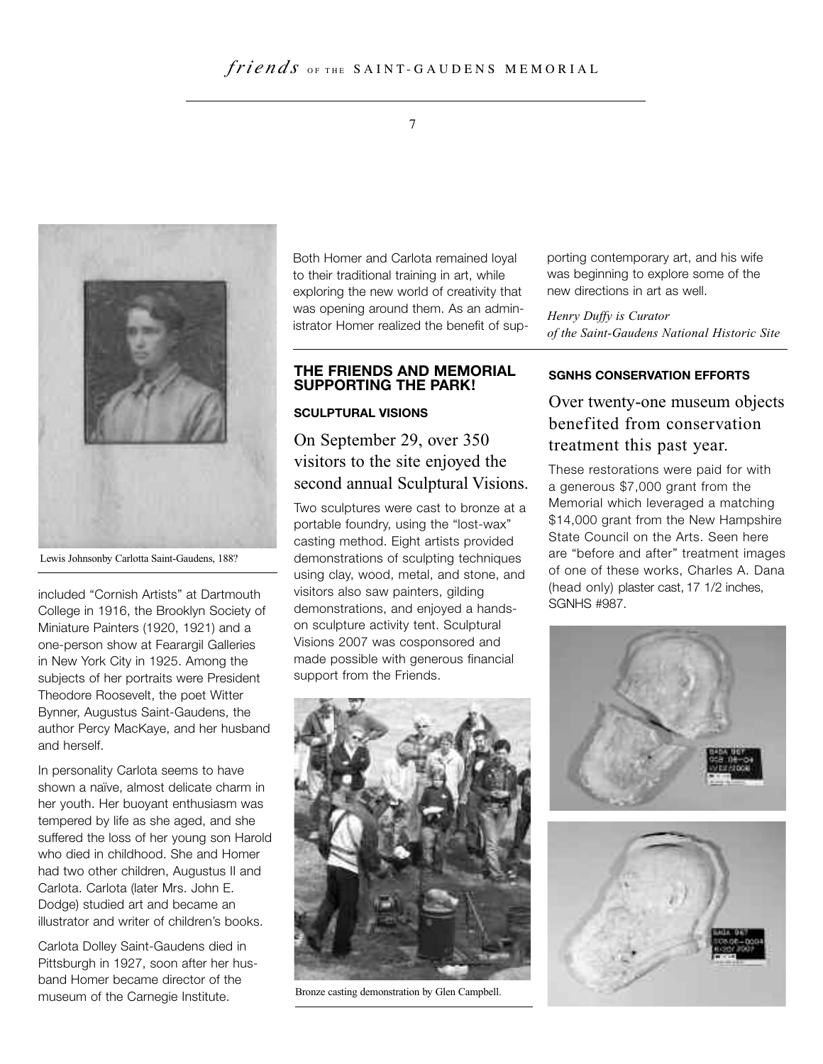



Lewis Johnsonby Carlotta Saint-Gaudens, 188?

included "Cornish Artists" at Dartmouth College in 1916, the Brooklyn Society of Miniature Painters (1920, 1921) and a one-person show at Fearargil Galleries in New York City in 1925. Among the subjects of her portraits were President Theodore Roosevelt, the poet Witter Bynner, Augustus Saint-Gaudens, the author Percy MacKaye, and her husband and herself.

In personality Carlota seems to have shown a naïve, almost delicate charm in her youth. Her buoyant enthusiasm was tempered by life as she aged, and she suffered the loss of her young son Harold who died in childhood. She and Homer had two other children, Augustus II and Carlota. Carlota (later Mrs. John E. Dodge) studied art and became an illustrator and writer of children's books.

Carlota Dolley Saint-Gaudens died in Pittsburgh in 1927, soon after her husband Homer became director of the museum of the Carnegie Institute.

Both Homer and Carlota remained loyal to their traditional training in art, while exploring the new world of creativity that was opening around them. As an administrator Homer realized the benefit of sup-

#### **THE FRIENDS AND MEMORIAL SUPPORTING THE PARK!**

#### **SCULPTURAL VISIONS**

# On September 29, over 350 visitors to the site enjoyed the second annual Sculptural Visions.

Two sculptures were cast to bronze at a portable foundry, using the "lost-wax" casting method. Eight artists provided demonstrations of sculpting techniques using clay, wood, metal, and stone, and visitors also saw painters, gilding demonstrations, and enjoyed a handson sculpture activity tent. Sculptural Visions 2007 was cosponsored and made possible with generous financial support from the Friends.



Bronze casting demonstration by Glen Campbell.

porting contemporary art, and his wife was beginning to explore some of the new directions in art as well.

*Henry Duffy is Curator of the Saint-Gaudens National Historic Site*

#### **SGNHS CONSERVATION EFFORTS**

# Over twenty-one museum objects benefited from conservation treatment this past year.

These restorations were paid for with a generous \$7,000 grant from the Memorial which leveraged a matching \$14,000 grant from the New Hampshire State Council on the Arts. Seen here are "before and after" treatment images of one of these works, Charles A. Dana (head only) plaster cast, 17 1/2 inches, SGNHS #987.